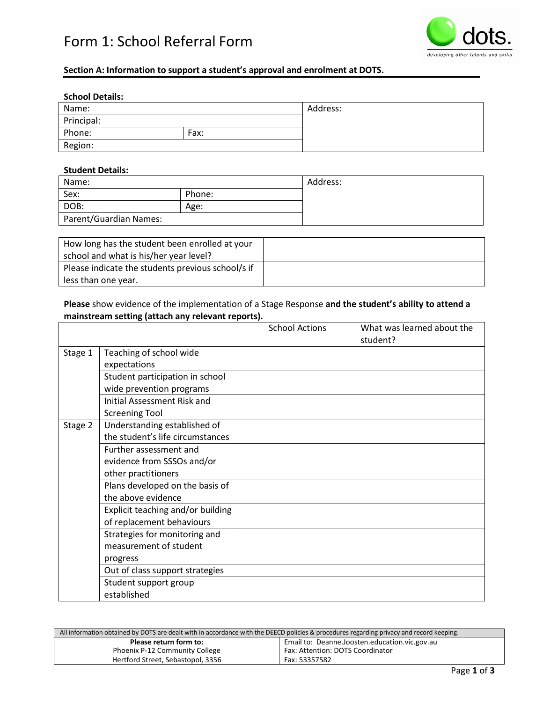# Form 1: School Referral Form



## **Section A: Information to support a student's approval and enrolment at DOTS.**

#### **School Details:**

| Name:      |      | Address: |
|------------|------|----------|
| Principal: |      |          |
| Phone:     | Fax: |          |
| Region:    |      |          |

#### **Student Details:**

| Name:                  |        | Address: |
|------------------------|--------|----------|
| Sex:                   | Phone: |          |
| DOB:                   | Age:   |          |
| Parent/Guardian Names: |        |          |

| How long has the student been enrolled at your    |  |
|---------------------------------------------------|--|
| school and what is his/her year level?            |  |
| Please indicate the students previous school/s if |  |
| less than one year.                               |  |

## **Please** show evidence of the implementation of a Stage Response **and the student's ability to attend a mainstream setting (attach any relevant reports).**

|         |                                    | <b>School Actions</b> | What was learned about the<br>student? |
|---------|------------------------------------|-----------------------|----------------------------------------|
| Stage 1 | Teaching of school wide            |                       |                                        |
|         | expectations                       |                       |                                        |
|         | Student participation in school    |                       |                                        |
|         | wide prevention programs           |                       |                                        |
|         | <b>Initial Assessment Risk and</b> |                       |                                        |
|         | <b>Screening Tool</b>              |                       |                                        |
| Stage 2 | Understanding established of       |                       |                                        |
|         | the student's life circumstances   |                       |                                        |
|         | Further assessment and             |                       |                                        |
|         | evidence from SSSOs and/or         |                       |                                        |
|         | other practitioners                |                       |                                        |
|         | Plans developed on the basis of    |                       |                                        |
|         | the above evidence                 |                       |                                        |
|         | Explicit teaching and/or building  |                       |                                        |
|         | of replacement behaviours          |                       |                                        |
|         | Strategies for monitoring and      |                       |                                        |
|         | measurement of student             |                       |                                        |
|         | progress                           |                       |                                        |
|         | Out of class support strategies    |                       |                                        |
|         | Student support group              |                       |                                        |
|         | established                        |                       |                                        |

| All information obtained by DOTS are dealt with in accordance with the DEECD policies & procedures regarding privacy and record keeping. |                                               |  |
|------------------------------------------------------------------------------------------------------------------------------------------|-----------------------------------------------|--|
| Please return form to:                                                                                                                   | Email to: Deanne.Joosten.education.vic.gov.au |  |
| <b>Phoenix P-12 Community College</b>                                                                                                    | Fax: Attention: DOTS Coordinator              |  |
| Hertford Street, Sebastopol, 3356                                                                                                        | Fax: 53357582                                 |  |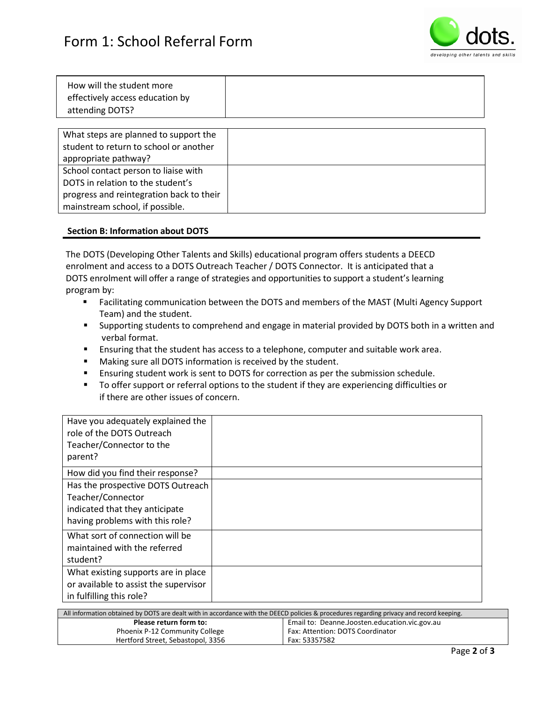

| How will the student more<br>effectively access education by<br>attending DOTS? |  |
|---------------------------------------------------------------------------------|--|
|                                                                                 |  |

| What steps are planned to support the    |  |
|------------------------------------------|--|
| student to return to school or another   |  |
| appropriate pathway?                     |  |
| School contact person to liaise with     |  |
| DOTS in relation to the student's        |  |
| progress and reintegration back to their |  |
| mainstream school, if possible.          |  |

#### **Section B: Information about DOTS**

The DOTS (Developing Other Talents and Skills) educational program offers students a DEECD enrolment and access to a DOTS Outreach Teacher / DOTS Connector. It is anticipated that a DOTS enrolment will offer a range of strategies and opportunities to support a student's learning program by:

- Facilitating communication between the DOTS and members of the MAST (Multi Agency Support Team) and the student.
- Supporting students to comprehend and engage in material provided by DOTS both in a written and verbal format.
- **Ensuring that the student has access to a telephone, computer and suitable work area.**
- **Making sure all DOTS information is received by the student.**
- Ensuring student work is sent to DOTS for correction as per the submission schedule.
- **TO offer support or referral options to the student if they are experiencing difficulties or** if there are other issues of concern.

| Have you adequately explained the<br>role of the DOTS Outreach<br>Teacher/Connector to the<br>parent?                       |  |
|-----------------------------------------------------------------------------------------------------------------------------|--|
| How did you find their response?                                                                                            |  |
| Has the prospective DOTS Outreach<br>Teacher/Connector<br>indicated that they anticipate<br>having problems with this role? |  |
| What sort of connection will be<br>maintained with the referred<br>student?                                                 |  |
| What existing supports are in place<br>or available to assist the supervisor<br>in fulfilling this role?                    |  |

| All information obtained by DOTS are dealt with in accordance with the DEECD policies & procedures regarding privacy and record keeping. |                                               |  |
|------------------------------------------------------------------------------------------------------------------------------------------|-----------------------------------------------|--|
| Please return form to:                                                                                                                   | Email to: Deanne.Joosten.education.vic.gov.au |  |
| Phoenix P-12 Community College                                                                                                           | Fax: Attention: DOTS Coordinator              |  |
| Hertford Street, Sebastopol, 3356                                                                                                        | Fax: 53357582                                 |  |
|                                                                                                                                          |                                               |  |